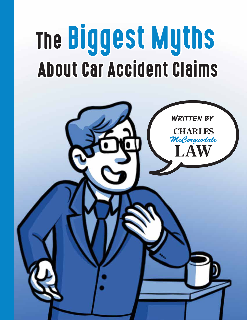# The Biggest Myths About Car Accident Claims

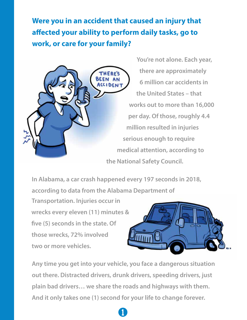**Were you in an accident that caused an injury that**  affected your ability to perform daily tasks, go to **work, or care for your family?**



**You're not alone. Each year, there are approximately 6 million car accidents in the United States – that works out to more than 16,000 per day. Of those, roughly 4.4 million resulted in injuries serious enough to require medical attention, according to the National Safety Council.**

**In Alabama, a car crash happened every 197 seconds in 2018,** 

**according to data from the Alabama Department of** 

**Transportation. Injuries occur in wrecks every eleven (11) minutes & ve (5) seconds in the state. Of those wrecks, 72% involved two or more vehicles.**



**Any time you get into your vehicle, you face a dangerous situation out there. Distracted drivers, drunk drivers, speeding drivers, just plain bad drivers… we share the roads and highways with them. And it only takes one (1) second for your life to change forever.**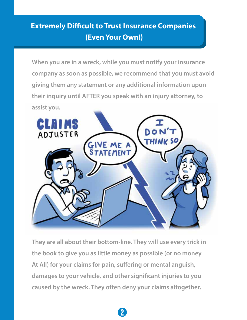## **Extremely Difficult to Trust Insurance Companies (Even Your Own!)**

**When you are in a wreck, while you must notify your insurance company as soon as possible, we recommend that you must avoid giving them any statement or any additional information upon their inquiry until AFTER you speak with an injury attorney, to assist you.**



**They are all about their bottom-line. They will use every trick in the book to give you as little money as possible (or no money**  At All) for your claims for pain, suffering or mental anguish, damages to your vehicle, and other significant injuries to you **caused by the wreck. They often deny your claims altogether.**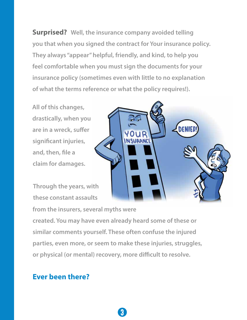**Surprised? Well, the insurance company avoided telling you that when you signed the contract for Your insurance policy. They always "appear" helpful, friendly, and kind, to help you feel comfortable when you must sign the documents for your insurance policy (sometimes even with little to no explanation of what the terms reference or what the policy requires!).** 

**USURANCE** 

**DENIE** 

**All of this changes, drastically, when you**  are in a wreck, suffer significant injuries, and, then, file a **claim for damages.**

**Through the years, with these constant assaults** 

**from the insurers, several myths were**

**created. You may have even already heard some of these or similar comments yourself. These often confuse the injured parties, even more, or seem to make these injuries, struggles,**  or physical (or mental) recovery, more difficult to resolve.

3

#### **Ever been there?**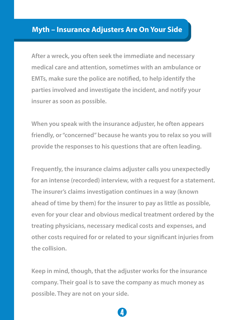#### **Myth – Insurance Adjusters Are On Your Side**

**After a wreck, you often seek the immediate and necessary medical care and attention, sometimes with an ambulance or EMTs, make sure the police are notified, to help identify the parties involved and investigate the incident, and notify your insurer as soon as possible.** 

**When you speak with the insurance adjuster, he often appears friendly, or "concerned" because he wants you to relax so you will provide the responses to his questions that are often leading.**

**Frequently, the insurance claims adjuster calls you unexpectedly for an intense (recorded) interview, with a request for a statement. The insurer's claims investigation continues in a way (known ahead of time by them) for the insurer to pay as little as possible, even for your clear and obvious medical treatment ordered by the treating physicians, necessary medical costs and expenses, and other costs required for or related to your signicant injuries from the collision.**

**Keep in mind, though, that the adjuster works for the insurance company. Their goal is to save the company as much money as possible. They are not on your side.**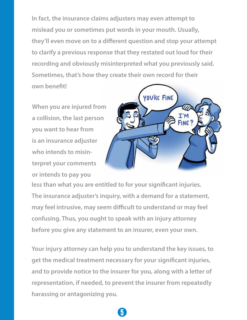**In fact, the insurance claims adjusters may even attempt to mislead you or sometimes put words in your mouth. Usually, they'll even move on to a different question and stop your attempt to clarify a previous response that they restated out loud for their recording and obviously misinterpreted what you previously said. Sometimes, that's how they create their own record for their own benet!**

**When you are injured from a collision, the last person you want to hear from is an insurance adjuster who intends to misinterpret your comments or intends to pay you** 



less than what you are entitled to for your significant injuries. **The insurance adjuster's inquiry, with a demand for a statement,**  may feel intrusive, may seem difficult to understand or may feel **confusing. Thus, you ought to speak with an injury attorney before you give any statement to an insurer, even your own.**

**Your injury attorney can help you to understand the key issues, to get the medical treatment necessary for your signicant injuries, and to provide notice to the insurer for you, along with a letter of representation, if needed, to prevent the insurer from repeatedly harassing or antagonizing you.**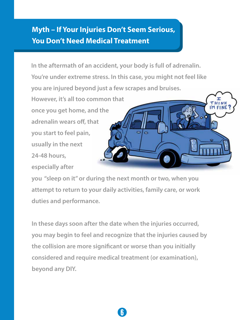## **Myth – If Your Injuries Don't Seem Serious, You Don't Need Medical Treatment**

**In the aftermath of an accident, your body is full of adrenalin. You're under extreme stress. In this case, you might not feel like you are injured beyond just a few scrapes and bruises.** 

**However, it's all too common that once you get home, and the adrenalin wears off, that you start to feel pain, usually in the next 24-48 hours, especially after** 



**you "sleep on it" or during the next month or two, when you attempt to return to your daily activities, family care, or work duties and performance.** 

**In these days soon after the date when the injuries occurred, you may begin to feel and recognize that the injuries caused by**  the collision are more significant or worse than you initially **considered and require medical treatment (or examination), beyond any DIY.**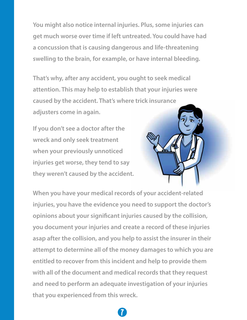**You might also notice internal injuries. Plus, some injuries can get much worse over time if left untreated. You could have had a concussion that is causing dangerous and life-threatening swelling to the brain, for example, or have internal bleeding.**

**That's why, after any accident, you ought to seek medical attention. This may help to establish that your injuries were caused by the accident. That's where trick insurance adjusters come in again.**

**If you don't see a doctor after the wreck and only seek treatment when your previously unnoticed injuries get worse, they tend to say they weren't caused by the accident.**



**When you have your medical records of your accident-related injuries, you have the evidence you need to support the doctor's opinions about your signicant injuries caused by the collision, you document your injuries and create a record of these injuries asap after the collision, and you help to assist the insurer in their attempt to determine all of the money damages to which you are entitled to recover from this incident and help to provide them with all of the document and medical records that they request and need to perform an adequate investigation of your injuries that you experienced from this wreck.**

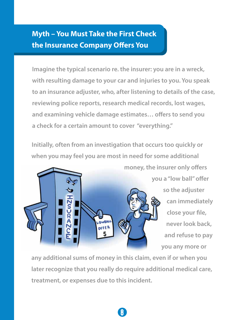## **Myth – You Must Take the First Check the Insurance Company Offers You**

**Imagine the typical scenario re. the insurer: you are in a wreck, with resulting damage to your car and injuries to you. You speak to an insurance adjuster, who, after listening to details of the case, reviewing police reports, research medical records, lost wages,**  and examining vehicle damage estimates... offers to send you **a check for a certain amount to cover "everything."** 

**Initially, often from an investigation that occurs too quickly or when you may feel you are most in need for some additional** 



**you a "low ball" offer so the adjuster can immediately**  close your file, **never look back, and refuse to pay you any more or** 

**any additional sums of money in this claim, even if or when you later recognize that you really do require additional medical care, treatment, or expenses due to this incident.**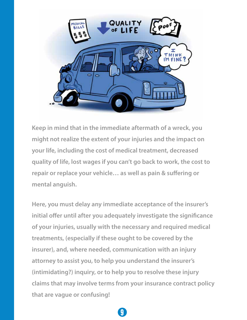

Keep in mind that in the immediate aftermath of a wreck, you **might not realize the extent of your injuries and the impact on your life, including the cost of medical treatment, decreased quality of life, lost wages if you can't go back to work, the cost to**  repair or replace your vehicle... as well as pain & suffering or **mental anguish.**

**Here, you must delay any immediate acceptance of the insurer's initial offer until after you adequately investigate the significance of your injuries, usually with the necessary and required medical treatments, (especially if these ought to be covered by the insurer), and, where needed, communication with an injury attorney to assist you, to help you understand the insurer's (intimidating?) inquiry, or to help you to resolve these injury claims that may involve terms from your insurance contract policy that are vague or confusing!**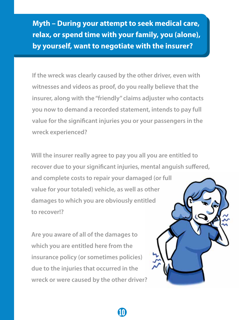**Myth – During your attempt to seek medical care, relax, or spend time with your family, you (alone), by yourself, want to negotiate with the insurer?**

**If the wreck was clearly caused by the other driver, even with witnesses and videos as proof, do you really believe that the insurer, along with the "friendly" claims adjuster who contacts you now to demand a recorded statement, intends to pay full**  value for the significant injuries you or your passengers in the **wreck experienced?** 

**Will the insurer really agree to pay you all you are entitled to**  recover due to your significant injuries, mental anguish suffered,

 $\mathbf{U}$ 

**and complete costs to repair your damaged (or full value for your totaled) vehicle, as well as other damages to which you are obviously entitled to recover!?**

**Are you aware of all of the damages to which you are entitled here from the insurance policy (or sometimes policies) due to the injuries that occurred in the wreck or were caused by the other driver?** 

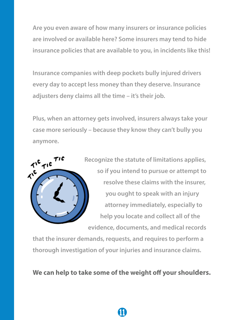**Are you even aware of how many insurers or insurance policies are involved or available here? Some insurers may tend to hide insurance policies that are available to you, in incidents like this!**

**Insurance companies with deep pockets bully injured drivers every day to accept less money than they deserve. Insurance adjusters deny claims all the time – it's their job.**

**Plus, when an attorney gets involved, insurers always take your case more seriously – because they know they can't bully you anymore.**



**Recognize the statute of limitations applies, so if you intend to pursue or attempt to resolve these claims with the insurer, you ought to speak with an injury attorney immediately, especially to help you locate and collect all of the evidence, documents, and medical records** 

**that the insurer demands, requests, and requires to perform a thorough investigation of your injuries and insurance claims.** 

We can help to take some of the weight off your shoulders.

 $\mathbf \mu$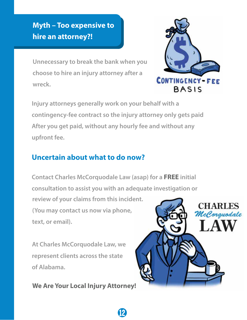## **Myth – Too expensive to hire an attorney?!**

**Unnecessary to break the bank when you choose to hire an injury attorney after a wreck.**



**Injury attorneys generally work on your behalf with a contingency-fee contract so the injury attorney only gets paid After you get paid, without any hourly fee and without any upfront fee.**

### **Uncertain about what to do now?**

**Contact Charles McCorquodale Law (asap) for a FREE initial consultation to assist you with an adequate investigation or review of your claims from this incident. (You may contact us now via phone, text, or email).**

12

**At Charles McCorquodale Law, we represent clients across the state of Alabama.**

**We Are Your Local Injury Attorney!**

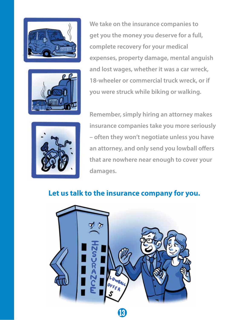



**We take on the insurance companies to get you the money you deserve for a full, complete recovery for your medical expenses, property damage, mental anguish and lost wages, whether it was a car wreck, 18-wheeler or commercial truck wreck, or if you were struck while biking or walking.**



**Remember, simply hiring an attorney makes insurance companies take you more seriously – often they won't negotiate unless you have**  an attorney, and only send you lowball offers **that are nowhere near enough to cover your damages.**

#### **Let us talk to the insurance company for you.**